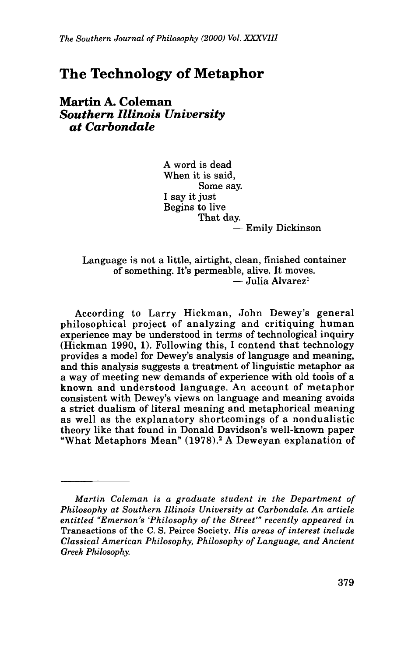## **The Technology of Metaphor**

**Martin A. Coleman**  *Southern Illinois University at Carbondale* 

> A word is dead When it is said, I say it just Begins to live Some say. That day. - Emily Dickinson

## Language is not a little, airtight, clean, finished container of something. It's permeable, alive. It moves.<br> $-$  Julia Alvarez<sup>1</sup>

According to Larry Hickman, John Dewey's general philosophical project of analyzing and critiquing human experience may be understood in terms of technological inquiry (Hickman 1990, 1). Following this, I contend that technology provides a model for Dewey's analysis of language and meaning, and this analysis suggests a treatment of linguistic metaphor as a way of meeting new demands of experience with old tools of a known and understood language. An account of metaphor consistent with Dewey's views on language and meaning avoids a strict dualism of literal meaning and metaphorical meaning as well as the explanatory shortcomings of a nondualistic theory like that found in Donald Davidson's well-known paper "What Metaphors Mean" (1978).2 A Deweyan explanation of

*Martin Coleman is a graduate student in the Department of Philosophy at Southern Illinois University at Carbondale. An article entitled "Emerson's 'Philosophy of the Street"' recently appeared in Transactions of the C. S. Peirce Society. His areas of interest include Classical American Philosophy, Philosophy of Language, and Ancient Greek Philosophy.*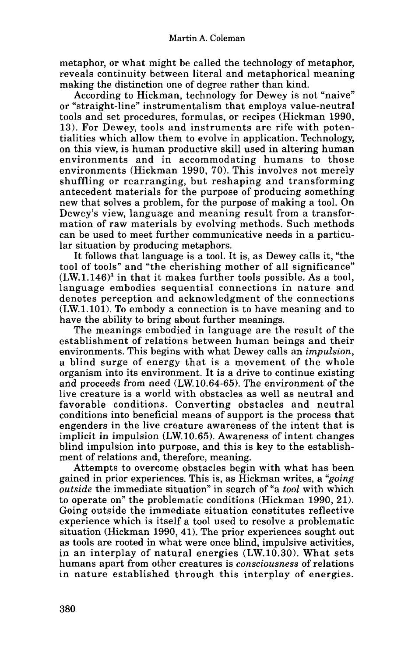metaphor, or what might be called the technology of metaphor, reveals continuity between literal and metaphorical meaning making the distinction one of degree rather than kind.

According to Hickman, technology for Dewey is not "naive" **or** "straight-line" instrumentalism that employs value-neutral tools and set procedures, formulas, or recipes (Hickman 1990, 13). For Dewey, tools and instruments are rife with potentialities which allow them to evolve in application. Technology, on this view, is human productive skill used in altering human environments and in accommodating humans to those environments (Hickman 1990, 70). This involves not merely shuffling or rearranging, but reshaping and transforming antecedent materials for the purpose **of** producing something new that solves a problem, for the purpose of making a tool. On Dewey's view, language and meaning result from a transformation of raw materials by evolving methods. Such methods can be used to meet further communicative needs in a particular situation by producing metaphors.

It follows that language is a tool. It is, as Dewey calls it, "the tool of tools" and "the cherishing mother of all significance"  $(LW.1.146)^3$  in that it makes further tools possible. As a tool, language embodies sequential connections in nature and denotes perception and acknowledgment of the connections (LW.1.101). **To** embody a connection is to have meaning and to have the ability to bring about further meanings.

The meanings embodied in language are the result of the establishment of relations between human beings and their environments. This begins with what Dewey calls an *imputsion,*  a blind surge of energy that is a movement of the whole organism into its environment. It is a drive to continue existing and proceeds from need (LW. 10.64-65). The environment of the live creature is a world with obstacles as well as neutral and favorable conditions. Converting obstacles and neutral conditions into beneficial means of support is the process that engenders in the live creature awareness of the intent that is implicit in impulsion (LW. 10.65). Awareness of intent changes blind impulsion into purpose, and this is key to the establishment of relations and, therefore, meaning.

Attempts to overcome obstacles begin with what has been gained in prior experiences. This is, as Hickman writes, a *"going outside* the immediate situation" in search of "a *tool* with which to operate on" the problematic conditions (Hickman 1990, 21). Going outside the immediate situation constitutes reflective experience which is itself a tool used to resolve a problematic situation (Hickman 1990, 41). The prior experiences sought out as tools are rooted in what were once blind, impulsive activities, in an interplay of natural energies (LW.10.30). What sets humans apart from other creatures is *consciousness* of relations in nature established through this interplay **of** energies.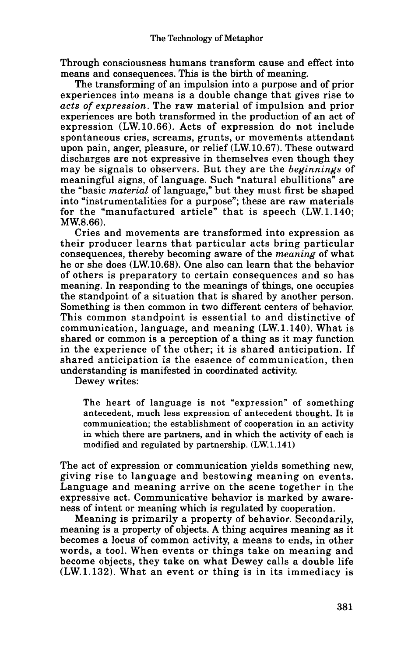Through consciousness humans transform cause and effect into means and consequences. This is the birth of meaning.

The transforming of an impulsion into a purpose and of prior experiences into means is a double change that gives rise to *acts of expression.* The raw material of impulsion and prior experiences are both transformed in the production of an act of expression (LW.10.66). Acts of expression do not include spontaneous cries, screams, grunts, or movements attendant upon pain, anger, pleasure, or relief (LW.10.67). These outward discharges are not expressive in themselves even though they may be signals to observers. But they are the *beginnings* of meaningful signs, of language. Such "natural ebullitions" are the "basic *material* of language," but they must first be shaped into "instrumentalities for a purpose"; these are raw materials for the "manufactured article" that is speech (LW.1.140; MW.8.66).

Cries and movements are transformed into expression as their producer learns that particular acts bring particular consequences, thereby becoming aware of the *meaning* of what he **or** she does (LW.10.68). One also can learn that the behavior of others is preparatory to certain consequences and so has meaning. In responding to the meanings of things, one occupies the standpoint of a situation that is shared by another person. Something is then common in two different centers of behavior. This common standpoint is essential to and distinctive of communication, language, and meaning (LW. 1.140). What is shared **or** common is a perception of a thing as it may function in the experience of the other; it is shared anticipation. If shared anticipation is the essence of communication, then understanding is manifested in coordinated activity.

Dewey writes:

**The heart of language is not "expression" of something antecedent, much less expression of antecedent thought. It is communication; the establishment of cooperation in an activity in which there are partners, and in which the activity of each is modified and regulated by partnership. (LW. 1.141)** 

The act of expression **or** communication yields something new, giving rise to language and bestowing meaning on events. Language and meaning arrive on the scene together in the expressive act. Communicative behavior is marked by awareness **of** intent **or** meaning which is regulated by cooperation.

Meaning is primarily a property of behavior. Secondarily, meaning is a property of objects. **A** thing acquires meaning as it becomes a locus of common activity, a means to ends, in other words, a tool. When events **or** things take on meaning and become objects, they take on what Dewey calls a double life (LW.1.132). What an event **or** thing is in its immediacy is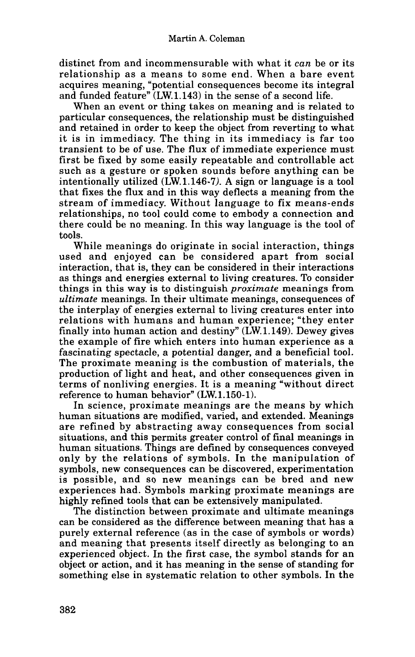distinct from and incommensurable with what it *can* be **or** its relationship as a means to some end. When a bare event acquires meaning, "potential consequences become its integral and funded feature'' (LW.1.143) in the sense of a second life.

When an event **or** thing takes on meaning and is related to particular consequences, the relationship must be distinguished and retained in order to keep the object from reverting to what it is in immediacy. The thing in its immediacy is far too transient to be of use. The flux of immediate experience must first be fixed by some easily repeatable and controllable act such as a gesture **or** spoken sounds before anything can be intentionally utilized (LW.1.146-7). **A** sign **or** language is a tool that fixes the flux and in this way deflects a meaning from the stream of immediacy. Without language to fix means-ends relationships, no tool could come to embody a connection and there could be no meaning. In this way language is the tool of tools.

While meanings do originate in social interaction, things used and enjoyed can be considered apart from social interaction, that is, they can be considered in their interactions as things and energies external to living creatures. To consider things in this way **is** to distinguish *proximate* meanings from *ultimate* meanings. In their ultimate meanings, consequences of the interplay of energies external to living creatures enter into relations with humans and human experience; "they enter finally into human action and destiny" (LW.1.149). Dewey gives the example of fire which enters into human experience as a fascinating spectacle, a potential danger, and a beneficial tool. The proximate meaning is the combustion of materials, the production of light and heat, and other consequences given in terms of nonliving energies. It is a meaning "without direct reference to human behavior" (LW.1.150-1).

In science, proximate meanings are the means by which human situations are modified, varied, and extended. Meanings are refined by abstracting away consequences from social situations, and this permits greater control of final meanings in human situations. Things are defined by consequences conveyed only by the relations of symbols. In the manipulation of symbols, new consequences can be discovered, experimentation is possible, and so new meanings can be bred and new experiences had. Symbols marking proximate meanings are highly refined tools that can be extensively manipulated.

The distinction between proximate and ultimate meanings can be considered as the difference between meaning that has a purely external reference (as in the case of symbols **or** words) and meaning that presents itself directly as belonging to an experienced object. In the first case, **the** symbol stands for an object **or** action, and it has meaning in the sense of standing for something else in systematic relation to other symbols. In the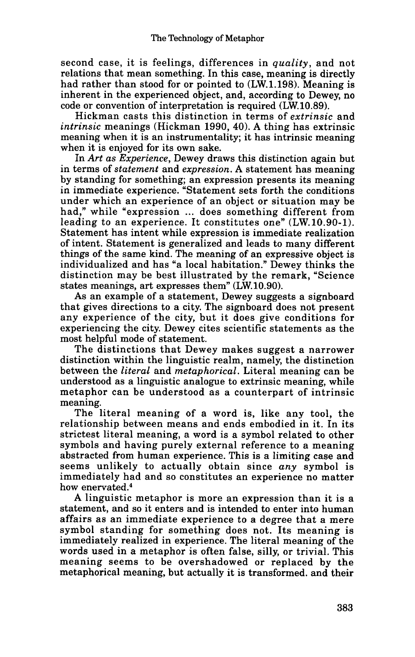second case, it is feelings, differences in *quality,* and not relations that mean something. In this case, meaning is directly had rather than stood for **or** pointed to (LW.1.198). Meaning is inherent in the experienced object, and, according to Dewey, no code **or** convention of interpretation is required (LW. 10.89).

Hickman casts this distinction in terms of *extrinsic* and *intrinsic* meanings (Hickman 1990, **40). A** thing has extrinsic meaning when it is an instrumentality; it has intrinsic meaning when it is enjoyed for its own sake.

In *Art as Experience,* Dewey draws this distinction again but in terms of *statement* and *expression.* **A** statement has meaning by standing for something; an expression presents its meaning in immediate experience. "Statement sets forth the conditions under which an experience of an object **or** situation may be had," while "expression ... does something different from leading to an experience. It constitutes one" (LW, 10.90-1). Statement has intent while expression is immediate realization of intent. Statement is generalized and leads to many different things of the same kind. The meaning of an expressive object is individualized and has "a local habitation." Dewey thinks the distinction may be best illustrated by the remark, "Science states meanings, art expresses them" (LW. 10.90).

**As** an example of a statement, Dewey suggests a signboard that gives directions to a city. The signboard does not present any experience of the city, but it does give conditions **for**  experiencing the city. Dewey cites scientific statements as the most helpful mode of statement.

The distinctions that Dewey makes suggest a narrower distinction within the linguistic realm, namely, the distinction between the *literal* and *metaphorical.* Literal meaning can be understood as a linguistic analogue to extrinsic meaning, while metaphor can be understood as a counterpart of intrinsic meaning.

The literal meaning of a word is, like any tool, the relationship between means and ends embodied in it. In its strictest literal meaning, a word is a symbol related to other symbols and having purely external reference to a meaning abstracted from human experience. This is a limiting case and seems unlikely to actually obtain since *any* symbol is immediately had and so constitutes an experience no matter how enervated.<sup>4</sup>

**A** linguistic metaphor is more an expression than it is a statement, and so it enters and is intended to enter into human affairs as an immediate experience to a degree that a mere symbol standing for something does not. Its meaning is immediately realized in experience. The literal meaning of the words used in a metaphor is often false, silly, **or** trivial. This meaning seems to be overshadowed **or** replaced by the metaphorical meaning, but actually it is transformed. and their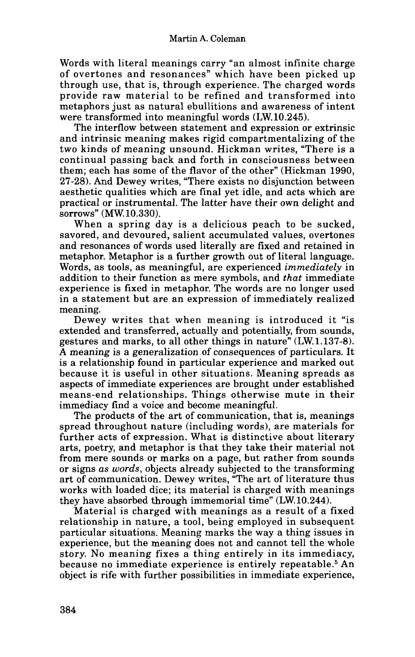Words with literal meanings carry "an almost infinite charge of overtones and resonances" which have been picked up through use, that is, through experience. The charged words provide raw material to be refined and transformed into metaphors just as natural ebullitions and awareness of intent were transformed into meaningful words (LW. 10.245).

The interflow between statement and expression or extrinsic and intrinsic meaning makes rigid compartmentalizing **of** the two kinds of meaning unsound. Hickman writes, "There is a continual passing back and forth in consciousness between them; each has some of the flavor of the other" (Hickman 1990, 27-28). And Dewey writes, "There exists no disjunction between aesthetic qualities which are final yet idle, and acts which are practical or instrumental. The latter have their own delight and sorrows" (MW. 10.330).

When a spring day is a delicious peach to be sucked, savored, and devoured, salient accumulated values, overtones and resonances of words used literally are fixed and retained in metaphor. Metaphor is a further growth out of literal language. Words, as tools, as meaningful, are experienced *immediately* in addition to their function as mere symbols, and *that* immediate experience is fixed in metaphor. The words are no longer used in a statement but are an expression of immediately realized meaning.

Dewey writes that when meaning is introduced it "is extended and transferred, actually and potentially, from sounds, gestures and marks, to all other things in nature" (LW.1.137-8). **A** meaning is a generalization of consequences of particulars. It is a relationship found in particular experience and marked out because it is useful in other situations. Meaning spreads as aspects of immediate experiences are brought under established means-end relationships. Things otherwise mute in their immediacy find a voice and become meaningful.

The products of the art of communication, that is, meanings spread throughout nature (including words), are materials for further acts of expression. What is distinctive about literary arts, poetry, and metaphor is that they take their material not from mere sounds or marks on a page, but rather from sounds or signs *as words,* objects already subjected to the transforming art of communication. Dewey writes, "The art of literature thus works with loaded dice; its material is charged with meanings they have absorbed through immemorial time" (LW. 10.244).

Material is charged with meanings as a result of a fixed relationship in nature, a tool, being employed in subsequent particular situations. Meaning marks the way a thing issues in experience, but the meaning does not and cannot tell the whole story. **No** meaning fixes a thing entirely in its immediacy, because no immediate experience is entirely repeatable.<sup>5</sup> An object is rife with further possibilities in immediate experience,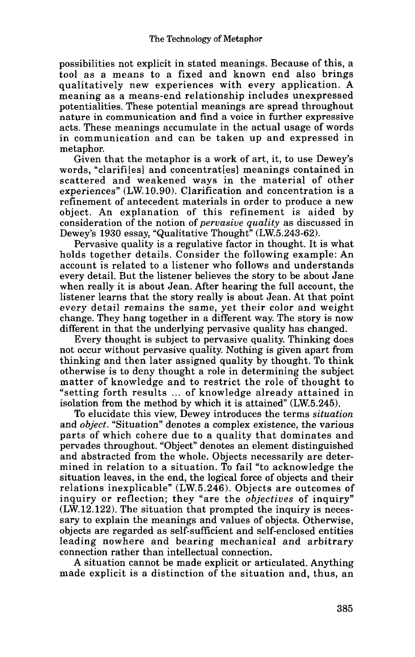possibilities not explicit in stated meanings. Because of this, a tool as a means to a fixed and known end also brings qualitatively new experiences with every application. A meaning as a means-end relationship includes unexpressed potentialities. These potential meanings are spread throughout nature in communication and find a voice in further expressive acts. These meanings accumulate in the actual usage of words in communication and can be taken up and expressed in metaphor.

Given that the metaphor is a work of art, it, to use Dewey's words, "clarifi[es] and concentrat[es] meanings contained in scattered and weakened ways in the material of other experiences" **(LW.** 10.90). Clarification and concentration is a refinement of antecedent materials in order to produce a new object. An explanation of this refinement is aided by consideration of the notion of *pervasive quality* as discussed in Dewey's **1930** essay, "Qualitative Thought" **tLW.5.243-62).** 

Pervasive quality is a regulative factor in thought. It is what holds together details. Consider the following example: An account is related to a listener who follows and understands every detail. But the listener believes the story to be about Jane when really it is about Jean. After hearing the full account, the listener learns that the story really is about Jean. At that point every detail remains the same, yet their color and weight change. They hang together in a different way. The story is now different in that the underlying pervasive quality has changed.

Every thought is subject to pervasive quality. Thinking does not occur without pervasive quality. Nothing is given apart from thinking and then later assigned quality by thought. To think otherwise is to deny thought a role in determining the subject matter of knowledge and to restrict the role of thought to "setting forth results ... of knowledge already attained in isolation from the method by which it is attained" **(LW.5.245).** 

To elucidate this view, Dewey introduces the terms *situation*  and *object.* "Situation" denotes a complex existence, the various parts of which cohere due to a quality that dominates and pervades throughout. "Object" denotes an element distinguished and abstracted from the whole. Objects necessarily are determined in relation to a situation. To fail "to acknowledge the situation leaves, in the end, the logical force of objects and their relations inexplicable" **(LW.5.246).** Objects are outcomes of inquiry or reflection; they "are the *objectives* of inquiry" **(LW.12.122).** The situation that prompted the inquiry is necessary to explain the meanings and values of objects. Otherwise, objects are regarded as self-sufficient and self-enclosed entities leading nowhere and bearing mechanical and arbitrary connection rather than intellectual connection.

A situation cannot be made explicit or articulated. Anything made explicit is a distinction of the situation and, thus, an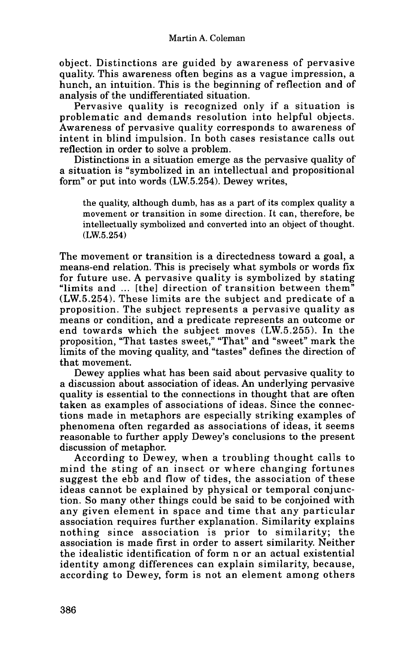object. Distinctions are guided by awareness of pervasive quality. This awareness often begins as a vague impression, a hunch, an intuition. This is the beginning of reflection and of analysis of the undifferentiated situation.

Pervasive quality is recognized only if a situation is problematic and demands resolution into helpful objects. Awareness of pervasive quality corresponds to awareness of intent in blind impulsion. In both cases resistance calls out reflection in order to solve a problem.

Distinctions in a situation emerge as the pervasive quality of a situation is "symbolized in an intellectual and propositional form" **or** put into words **(LW.5.254).** Dewey writes,

the quality, although dumb, has as **a** part of its complex quality a movement or transition in some direction. **It** can, therefore, be intellectually symbolized and converted into an object of thought. **(LW.5.254)** 

The movement **or** transition is a directedness toward a goal, a means-end relation. This is precisely what symbols **or** words fix for future use. A pervasive quality is symbolized by stating "limits and ... [the] direction of transition between them" **(LW.5.254).** These limits are the subject and predicate of a proposition. The subject represents a pervasive quality as means **or** condition, and a predicate represents an outcome **or**  end towards which the subject moves **(LW.5.255).** In the proposition, "That tastes sweet," "That" and "sweet" mark the limits of the moving quality, and "tastes" defines the direction of that movement.

Dewey applies what has been said about pervasive quality to a discussion about association of ideas. **An** underlying pervasive quality is essential to the connections in thought that are often taken as examples of associations of ideas. Since the connections made in metaphors are especially striking examples of phenomena often regarded as associations of ideas, it seems reasonable to further apply Dewey's conclusions to the present discussion of metaphor.

According to Dewey, when a troubling thought calls to mind the sting of an insect **or** where changing fortunes suggest the ebb and flow of tides, the association of these ideas cannot be explained by physical **or** temporal conjunction. So many other things could be said to be conjoined with any given element in space and time that any particular association requires further explanation. Similarity explains nothing since association is prior to similarity; the association is made first in order to assert similarity. Neither the idealistic identification **of** form n **or** an actual existential identity among differences can explain similarity, because, according to Dewey, form is not an element among others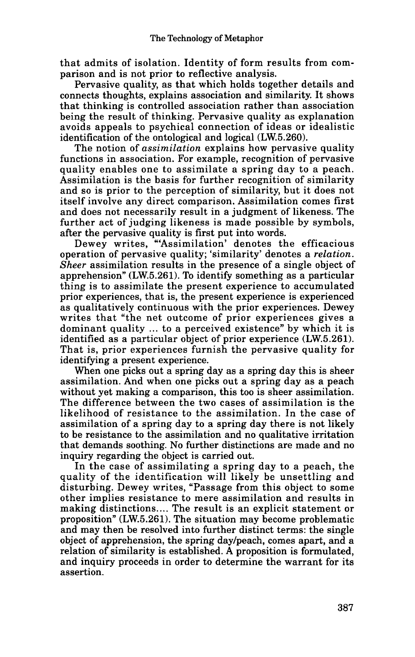that admits of isolation. Identity of form results from comparison and is not prior to reflective analysis.

Pervasive quality, as that which holds together details and connects thoughts, explains association and similarity. It shows that thinking is controlled association rather than association being the result of thinking. Pervasive quality as explanation avoids appeals to psychical connection of ideas **or** idealistic identification of the ontological and logical **(LW.5.260).** 

The notion of *assirnilution* explains how pervasive quality functions in association. **For** example, recognition of pervasive quality enables one to assimilate a spring day to a peach. Assimilation is the basis for further recognition of similarity and so is prior to the perception of similarity, but it does not itself involve any direct comparison. Assimilation comes first and does not necessarily result in a judgment of likeness. The further act of judging likeness is made possible by symbols, after the pervasive quality is first put into words.

Dewey writes, "Assimilation' denotes the efficacious operation of pervasive quality; 'similarity' denotes a *relation. Sheer* assimilation results in the presence of a single object of apprehension" **(LW.5.261). To** identify something as a particular thing is to assimilate the present experience to accumulated prior experiences, that is, the present experience is experienced as qualitatively continuous with the prior experiences. Dewey writes that "the net outcome of prior experiences gives a dominant quality ... to a perceived existence" by which it is identified as a particular object of prior experience **(LW.5.261).**  That is, prior experiences furnish the pervasive quality for identifying a present experience.

When one picks out a spring day as a spring day this is sheer assimilation. And when one picks out a spring day as a peach without yet making a comparison, this too is sheer assimilation. The difference between the two cases of assimilation is the likelihood of resistance to the assimilation. In the case of assimilation of a spring day to a spring day there is not likely to be resistance to the assimilation and no qualitative irritation that demands soothing. No further distinctions are made and no inquiry regarding the object is carried out.

In the case of assimilating a spring day to a peach, the quality of the identification will likely be unsettling and disturbing. Dewey writes, "Passage from this object to some other implies resistance to mere assimilation and results in making distinctions .... The result is an explicit statement **or**  proposition" **(LW.5.261).** The situation may become problematic and may then be resolved into further distinct terms: the single object of apprehension, the spring daylpeach, comes apart, and a relation of similarity is established. A proposition is formulated, and inquiry proceeds in order to determine the warrant for its assertion.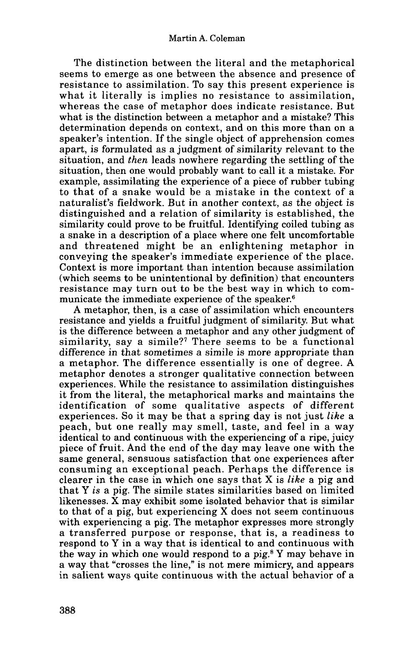The distinction between the literal and the metaphorical seems to emerge as one between the absence and presence of resistance to assimilation. To say this present experience is what it literally is implies no resistance to assimilation, whereas the case of metaphor does indicate resistance. But what is the distinction between a metaphor and a mistake? This determination depends on context, and on this more than on a speaker's intention. If the single object of apprehension comes apart, is formulated as a judgment of similarity relevant to the situation, and *then* leads nowhere regarding the settling of the situation, then one would probably want to call it a mistake. For example, assimilating the experience of a piece of rubber tubing to that of a snake would be a mistake in the context of a naturalist's fieldwork. But in another context, as the object is distinguished and a relation of similarity is established, the similarity could prove to be fruitful. Identifying coiled tubing as a snake in a description of a place where one felt uncomfortable and threatened might be an enlightening metaphor in conveying the speaker's immediate experience of the place. Context is more important than intention because assimilation (which seems to be unintentional by definition) that encounters resistance may turn out to be the best way in which to communicate the immediate experience of the speaker. $6$ 

A metaphor, then, is a case of assimilation which encounters resistance and yields a fruitful judgment of similarity. But what is the difference between a metaphor and any other judgment of similarity, say a simile?<sup>7</sup> There seems to be a functional difference in that sometimes a simile is more appropriate than a metaphor. The difference essentially is one of degree. A metaphor denotes a stronger qualitative connection between experiences. While the resistance to assimilation distinguishes it from the literal, the metaphorical marks and maintains the identification of some qualitative aspects of different experiences. **So** it may be that a spring day is not just *like* a peach, but one really may smell, taste, and feel in a way identical to and continuous with the experiencing of a ripe, juicy piece of fruit. And the end of the day may leave one with the same general, sensuous satisfaction that one experiences after consuming an exceptional peach. Perhaps the difference is clearer in the case in which one says that X is *like* a pig and that Y *is* a pig. The simile states similarities based on limited likenesses. **X** may exhibit some isolated behavior that is similar to that of a pig, but experiencing X does not seem continuous with experiencing a pig. The metaphor expresses more strongly a transferred purpose or response, that is, a readiness to respond to Y in a way that is identical to and continuous with the way in which one **would** respond to a pig.\* Y may behave in a way that "crosses the line," is not mere mimicry, and appears in salient ways quite continuous with the actual behavior of a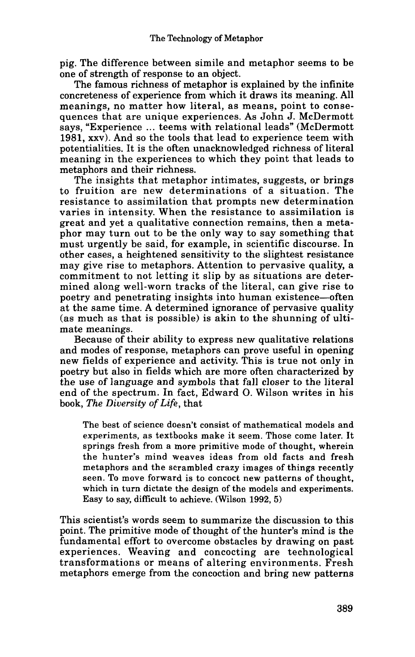pig. The difference between simile and metaphor seems to be one of strength of response to an object.

The famous richness **of** metaphor is explained by the infinite concreteness of experience from which it draws its meaning. All meanings, no matter how literal, as means, point to consequences that are unique experiences. As John J. McDermott says, "Experience ... teems with relational leads" (McDermott **1981,** xxv). And so the tools that lead to experience teem with potentialities. It is the often unacknowledged richness of literal meaning in the experiences to which they point that leads to metaphors and their richness.

The insights that metaphor intimates, suggests, **or** brings to fruition are new determinations of a situation. The resistance to assimilation that prompts new determination varies in intensity. When the resistance to assimilation is great and yet a qualitative connection remains, then a metaphor may turn out to be the only way to say something that must urgently be said, for example, in scientific discourse. In other cases, a heightened sensitivity to the slightest resistance may give rise to metaphors. Attention to pervasive quality, a commitment to not letting it slip by as situations are determined along well-worn tracks of the literal, can give rise to poetry and penetrating insights into human existence-often at the same time. A determined ignorance of pervasive quality (as much as that is possible) is akin to the shunning of ultimate meanings.

Because of their ability to express new qualitative relations and modes of response, metaphors can prove useful in opening new fields of experience and activity. This is true not only in poetry but also in fields which are more often characterized by the use of language and symbols that fall closer to the literal end of the spectrum. In fact, Edward 0. Wilson writes in his book, *The Diversity of Life,* that

**The best of science doesn't consist of mathematical models and experiments, as textbooks make it seem. Those come later. It springs fresh from a more primitive mode of thought, wherein the hunter's mind weaves ideas from old facts and fresh metaphors and the scrambled crazy images of things recently seen. To move forward is to concoct new patterns of thought, which in turn dictate the design of the models and experiments. Easy to say, difficult to achieve. (Wilson 1992,5)** 

This scientist's words seem to summarize the discussion to this point. The primitive mode of thought of the hunter's mind is the fundamental effort to overcome obstacles by drawing on past experiences. Weaving and concocting are technological transformations **or** means of altering environments. Fresh metaphors emerge from the concoction and bring new patterns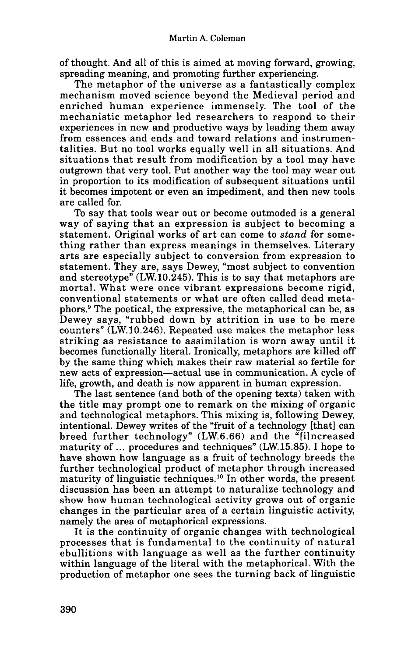of thought. And all of this is aimed at moving forward, growing, spreading meaning, and promoting further experiencing.

The metaphor of the universe as a fantastically complex mechanism moved science beyond the Medieval period and enriched human experience immensely. The tool of the mechanistic metaphor led researchers to respond to their experiences in new and productive ways by leading them away from essences and ends and toward relations and instrumentalities. But no tool works equally well in all situations. And situations that result from modification by a tool may have outgrown that very tool. Put another way the tool may wear out in proportion to its modification of subsequent situations until it becomes impotent or even an impediment, and then new tools are called for.

To say that tools wear out or become outmoded is a general way of saying that an expression is subject to becoming a statement. Original works of art can come to *stand* for something rather than express meanings in themselves. Literary arts are especially subject to conversion from expression to statement. They are, says Dewey, "most subject to convention and stereotype" (LW.10.245). This is to say that metaphors are mortal. What were once vibrant expressions become rigid, conventional statements or what are often called dead metaphors.<sup>9</sup> The poetical, the expressive, the metaphorical can be, as Dewey says, "rubbed down by attrition in use to be mere counters'' (LW. 10.246). Repeated use makes the metaphor less striking as resistance to assimilation is worn away until it becomes functionally literal. Ironically, metaphors are killed off by the same thing which makes their raw material so fertile for new acts of expression-actual use in communication. **A** cycle of life, growth, and death is now apparent in human expression.

The last sentence (and both of the opening texts) taken with the title may prompt one to remark on the mixing of organic and technological metaphors. This mixing is, following Dewey, intentional. Dewey writes of the "fruit of a technology [that] can breed further technology" (LW.6.66) and the "[ilncreased maturity of  $\ldots$  procedures and techniques" (LW.15.85). I hope to have shown how language as a fruit of technology breeds the further technological product of metaphor through increased maturity of linguistic techniques.<sup>10</sup> In other words, the present discussion has been an attempt to naturalize technology and show how human technological activity grows out of organic changes in the particular area of a certain linguistic activity, namely the area of metaphorical expressions.

It is the continuity of organic changes with technological processes that is fundamental to the continuity of natural ebullitions with language as well as the further continuity within language of the literal with the metaphorical. With the production of metaphor one sees the turning back of linguistic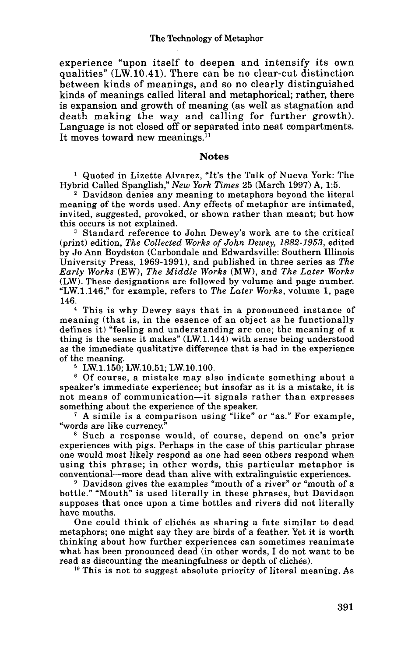experience "upon itself to deepen and intensify its own qualities" (LW. 10.41). There can be no clear-cut distinction between kinds of meanings, and so no clearly distinguished kinds of meanings called literal and metaphorical; rather, there is expansion and growth of meaning (as well as stagnation and death making the way and calling for further growth). Language is not closed off or separated into neat compartments. It moves toward new meanings.<sup>11</sup>

## **Notes**

Quoted in Lizette Alvarez, "It's the Talk of Nueva York: The Hybrid Called Spanglish," *New York Times 25* (March 1997) A, 15.

Davidson denies any meaning to metaphors beyond the literal meaning of the words used. Any effects of metaphor are intimated, invited, suggested, provoked, or shown rather than meant; but how this occurs is not explained.

Standard reference to John Dewey's work are to the critical (print) edition, *The Collected Works of John Dewey, 1882-1953,* edited by Jo Ann Boydston (Carbondale and Edwardsville: Southern Illinois University Press, 1969-1991), and published in three series as *The Early Works* (EW), *The Middle* Works (MW), and *The Later Works*  (LW). These designations are followed by volume and page number. "LW.1.146," for example, refers to *The Later Works,* volume 1, page 146.

This is why Dewey says that in a pronounced instance of meaning (that is, in the essence of an object as he functionally defines it) "feeling and understanding are one; the meaning **of** a thing is the sense it makes" (LW.1.144) with sense being understood as the immediate qualitative difference that is had in the experience of the meaning.

LW.1.150; LW.10.51; LW.10.100.

Of course, a mistake may also indicate something about a speaker's immediate experience; but insofar as it is a mistake, it is not means of communication-it signals rather than expresses something about the experience of the speaker.

**A** simile is a comparison using "like" or "as." For example, "words are like currency."

Such a response would, of course, depend on one's prior experiences with pigs. Perhaps in the case of this particular phrase one would most likely respond as one had seen others respond when using this phrase; in other words, this particular metaphor is conventional-more dead than alive with extralinguistic experiences.

<sup>9</sup> Davidson gives the examples "mouth of a river" or "mouth of a bottle." "Mouth" is used literally in these phrases, but Davidson supposes that once upon **a** time bottles and rivers did not literally have mouths.

One could think of cliches as sharing a fate similar to dead metaphors; one might say they are birds of a feather. Yet it is worth thinking about how further experiences can sometimes reanimate what has been pronounced dead (in other words, I do not want to be read as discounting the meaningfulness or depth of clichés).

**lo** This is not to suggest absolute priority of literal meaning. **As**